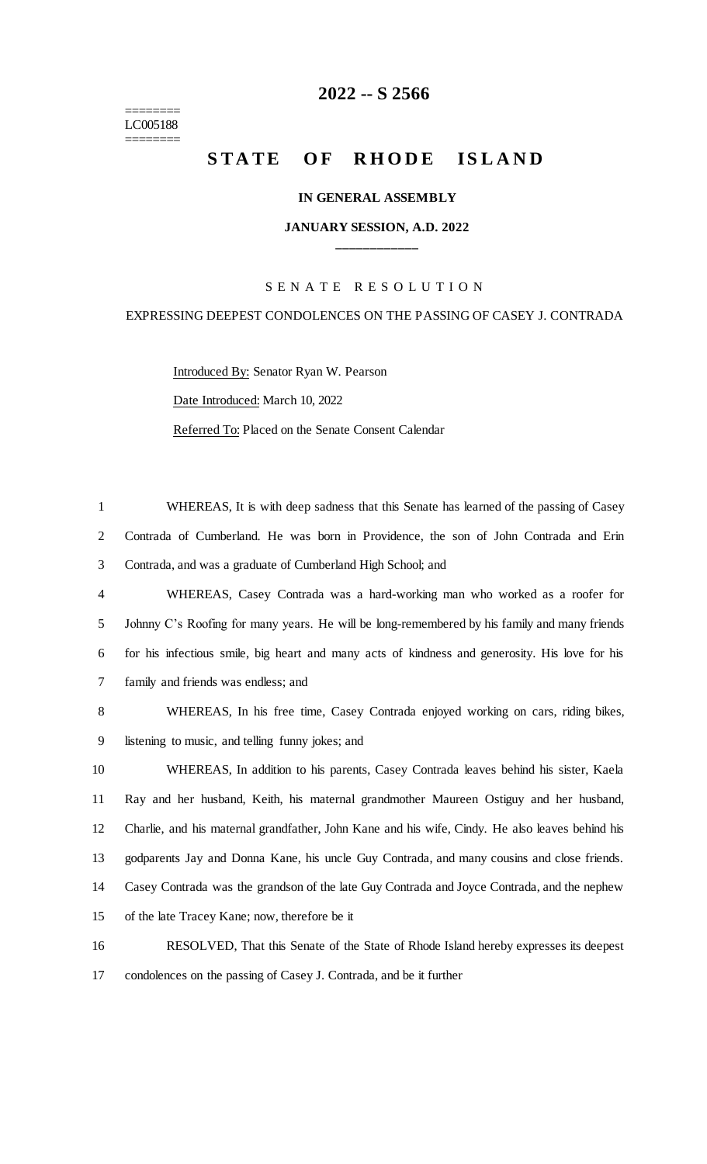======== LC005188 ========

## **2022 -- S 2566**

# **STATE OF RHODE ISLAND**

#### **IN GENERAL ASSEMBLY**

#### **JANUARY SESSION, A.D. 2022 \_\_\_\_\_\_\_\_\_\_\_\_**

### S E N A T E R E S O L U T I O N

### EXPRESSING DEEPEST CONDOLENCES ON THE PASSING OF CASEY J. CONTRADA

Introduced By: Senator Ryan W. Pearson Date Introduced: March 10, 2022 Referred To: Placed on the Senate Consent Calendar

 WHEREAS, It is with deep sadness that this Senate has learned of the passing of Casey Contrada of Cumberland. He was born in Providence, the son of John Contrada and Erin Contrada, and was a graduate of Cumberland High School; and WHEREAS, Casey Contrada was a hard-working man who worked as a roofer for Johnny C's Roofing for many years. He will be long-remembered by his family and many friends for his infectious smile, big heart and many acts of kindness and generosity. His love for his family and friends was endless; and

8 WHEREAS, In his free time, Casey Contrada enjoyed working on cars, riding bikes, 9 listening to music, and telling funny jokes; and

 WHEREAS, In addition to his parents, Casey Contrada leaves behind his sister, Kaela Ray and her husband, Keith, his maternal grandmother Maureen Ostiguy and her husband, Charlie, and his maternal grandfather, John Kane and his wife, Cindy. He also leaves behind his godparents Jay and Donna Kane, his uncle Guy Contrada, and many cousins and close friends. Casey Contrada was the grandson of the late Guy Contrada and Joyce Contrada, and the nephew of the late Tracey Kane; now, therefore be it

16 RESOLVED, That this Senate of the State of Rhode Island hereby expresses its deepest 17 condolences on the passing of Casey J. Contrada, and be it further